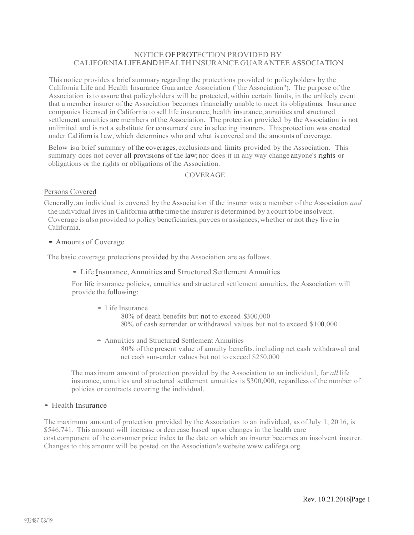## NOTICE OF PROTECTION PROVIDED BY CALIFORNIALIFE AND HEALTH INSURANCE GUARANTEE ASSOCIATION

This notice provides a brief summary regarding the protections provided to policyholders by the California Life and Health Insurance Guarantee Association ("the Association"). The purpose of the Association isto assure that policyholders will be protected, within certain limits, in the unlikely event that a member insurer of the Association becomes financially unable to meet its obligations. Insurance companies licensed in California to sell life insurance, health insurance, annuities and structured settlement annuities are members of the Association. The protection provided by the Association is not unlimited and is not a substitute for consumers' care in selecting insurers. This protection was created under California l aw, which determines who and what is covered and the amounts of coverage.

Below is a brief summary of the coverages, exclusions and limits provided by the Association. This summary does not cover all provisions of the law;nor does it in any way change anyone's rights or obligations or the rights or obligations of the Association.

## COVERAGE

#### Persons Covered

Generally, an individual is covered by the Association if the insurer was a member of the Association *and* the individual lives in California at the time the insurer is determined by a court to be insolvent. Coverage is also provided to policy beneficiaries, payees or assignees, whether or not they live in California.

### • Amounts of Coverage

The basic coverage protections provided by the Association are as follows.

### • Life Insurance, Annuities and Structured Settlement Annuities

For life insurance policies, annuities and structured settlement annuities, the Association will provide the following:

• Life Insurance

80% of death benefits but not to exceed \$300,000 80% of cash surrender or withdrawal values but not to exceed \$100,000

• Annuities and Structured Settlement Annuities

80% of the present value of annuity benefits, including net cash withdrawal and net cash sun-ender values but not to exceed \$250,000

The maximum amount of protection provided by the Association to an individual, for *all* life insurance, annuities and structured settlement annuities is \$300,000, regardless of the number of policies or contracts covering the individual.

# • Health Insurance

The maximum amount of protection provided by the Association to an individual, as ofJuly 1, 20 16, is \$546,741. This amount will increase or decrease based upon changes in the health care cost component of the consumer price index to the date on which an insurer becomes an insolvent insurer. Changes to this amount will be posted on the Association 's website www.califega.org.